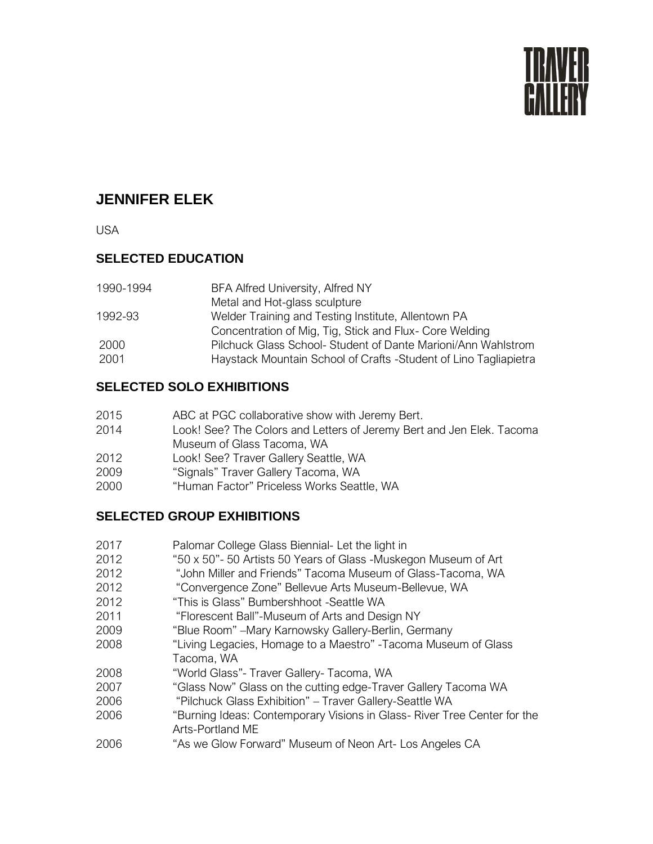

# **JENNIFER ELEK**

USA

### **SELECTED EDUCATION**

| 1990-1994 | BFA Alfred University, Alfred NY                                 |
|-----------|------------------------------------------------------------------|
|           | Metal and Hot-glass sculpture                                    |
| 1992-93   | Welder Training and Testing Institute, Allentown PA              |
|           | Concentration of Mig, Tig, Stick and Flux- Core Welding          |
| 2000      | Pilchuck Glass School-Student of Dante Marioni/Ann Wahlstrom     |
| 2001      | Haystack Mountain School of Crafts -Student of Lino Tagliapietra |

#### **SELECTED SOLO EXHIBITIONS**

- 2015 ABC at PGC collaborative show with Jeremy Bert.
- 2014 Look! See? The Colors and Letters of Jeremy Bert and Jen Elek. Tacoma Museum of Glass Tacoma, WA
- 2012 Look! See? Traver Gallery Seattle, WA
- 2009 "Signals" Traver Gallery Tacoma, WA
- 2000 "Human Factor" Priceless Works Seattle, WA

### **SELECTED GROUP EXHIBITIONS**

- 2017 Palomar College Glass Biennial- Let the light in
- 2012 "50 x 50"- 50 Artists 50 Years of Glass -Muskegon Museum of Art
- 2012 "John Miller and Friends" Tacoma Museum of Glass-Tacoma, WA
- 2012 "Convergence Zone" Bellevue Arts Museum-Bellevue, WA
- 2012 "This is Glass" Bumbershhoot -Seattle WA
- 2011 "Florescent Ball"-Museum of Arts and Design NY
- 2009 "Blue Room" –Mary Karnowsky Gallery-Berlin, Germany
- 2008 "Living Legacies, Homage to a Maestro" -Tacoma Museum of Glass Tacoma, WA
- 2008 "World Glass"- Traver Gallery- Tacoma, WA
- 2007 "Glass Now" Glass on the cutting edge-Traver Gallery Tacoma WA
- 2006 "Pilchuck Glass Exhibition" Traver Gallery-Seattle WA
- 2006 "Burning Ideas: Contemporary Visions in Glass- River Tree Center for the Arts-Portland ME
- 2006 "As we Glow Forward" Museum of Neon Art- Los Angeles CA